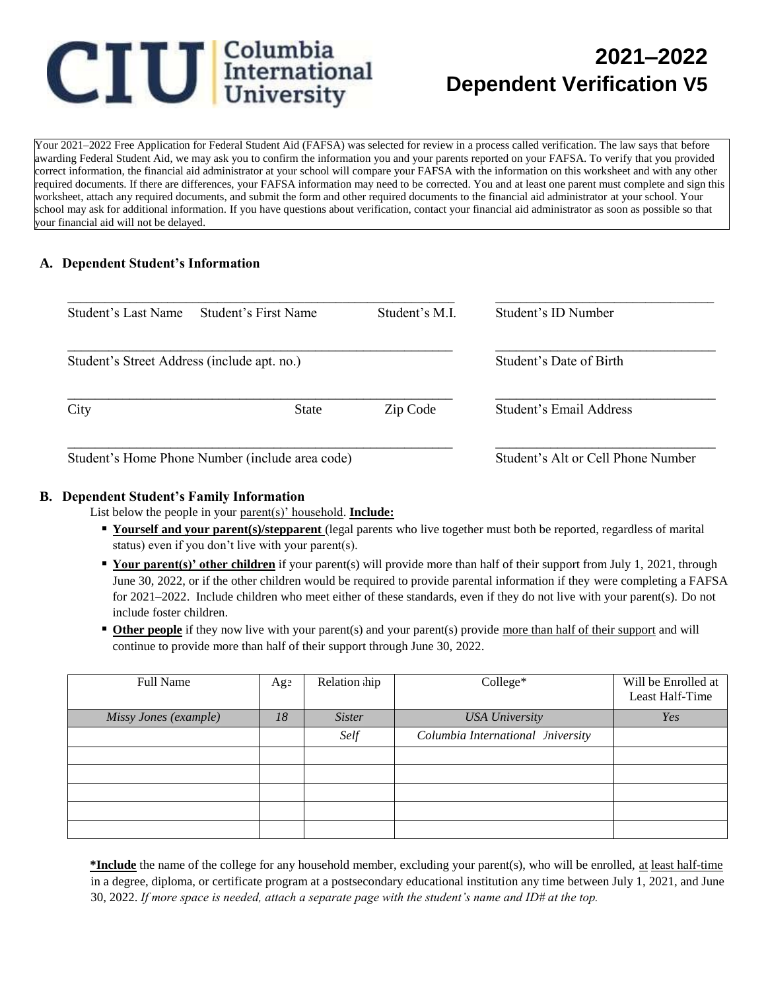# **CIU** International

## **2021–2022 Dependent Verification V5**

Your 2021–2022 Free Application for Federal Student Aid (FAFSA) was selected for review in a process called verification. The law says that before awarding Federal Student Aid, we may ask you to confirm the information you and your parents reported on your FAFSA. To verify that you provided correct information, the financial aid administrator at your school will compare your FAFSA with the information on this worksheet and with any other required documents. If there are differences, your FAFSA information may need to be corrected. You and at least one parent must complete and sign this worksheet, attach any required documents, and submit the form and other required documents to the financial aid administrator at your school. Your school may ask for additional information. If you have questions about verification, contact your financial aid administrator as soon as possible so that your financial aid will not be delayed.

#### **A. Dependent Student's Information**

| Student's Last Name                         | Student's First Name                            | Student's M.I.                     | Student's ID Number     |
|---------------------------------------------|-------------------------------------------------|------------------------------------|-------------------------|
| Student's Street Address (include apt. no.) |                                                 | Student's Date of Birth            |                         |
| City                                        | <b>State</b>                                    | Zip Code                           | Student's Email Address |
|                                             | Student's Home Phone Number (include area code) | Student's Alt or Cell Phone Number |                         |

#### **B. Dependent Student's Family Information**

List below the people in your parent(s)' household. **Include:**

- **Yourself and your parent(s)/stepparent** (legal parents who live together must both be reported, regardless of marital status) even if you don't live with your parent(s).
- **Your parent(s)' other children** if your parent(s) will provide more than half of their support from July 1, 2021, through June 30, 2022, or if the other children would be required to provide parental information if they were completing a FAFSA for 2021–2022. Include children who meet either of these standards, even if they do not live with your parent(s). Do not include foster children.
- **Other people** if they now live with your parent(s) and your parent(s) provide more than half of their support and will continue to provide more than half of their support through June 30, 2022.

| <b>Full Name</b>      | Age | Relation hip  | College*                          | Will be Enrolled at<br>Least Half-Time |
|-----------------------|-----|---------------|-----------------------------------|----------------------------------------|
| Missy Jones (example) | 18  | <i>Sister</i> | <b>USA University</b>             | Yes                                    |
|                       |     | Self          | Columbia International Iniversity |                                        |
|                       |     |               |                                   |                                        |
|                       |     |               |                                   |                                        |
|                       |     |               |                                   |                                        |
|                       |     |               |                                   |                                        |
|                       |     |               |                                   |                                        |

**\*Include** the name of the college for any household member, excluding your parent(s), who will be enrolled, at least half-time in a degree, diploma, or certificate program at a postsecondary educational institution any time between July 1, 2021, and June 30, 2022. *If more space is needed, attach a separate page with the student's name and ID# at the top.*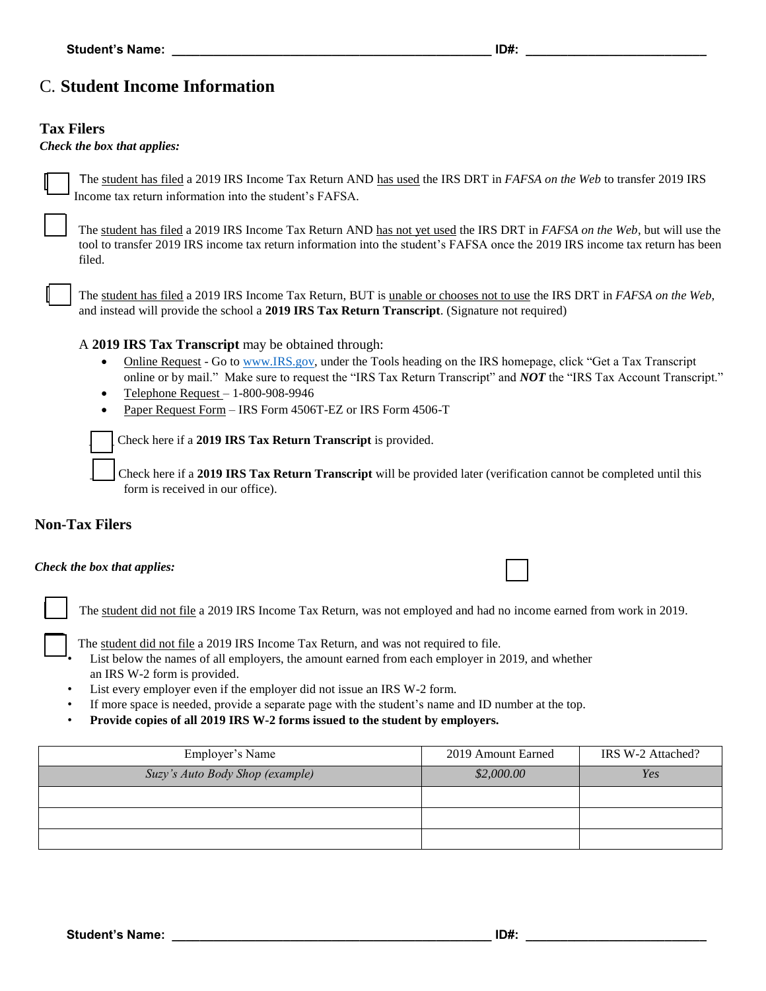## C. **Student Income Information**

#### **Tax Filers**

#### *Check the box that applies:*

The student has filed a 2019 IRS Income Tax Return AND has used the IRS DRT in *FAFSA on the Web* to transfer 2019 IRS Income tax return information into the student's FAFSA*.* 

The student has filed a 2019 IRS Income Tax Return AND has not yet used the IRS DRT in *FAFSA on the Web*, but will use the tool to transfer 2019 IRS income tax return information into the student's FAFSA once the 2019 IRS income tax return has been filed.

The student has filed a 2019 IRS Income Tax Return, BUT is unable or chooses not to use the IRS DRT in *FAFSA on the Web*, and instead will provide the school a **2019 IRS Tax Return Transcript**. (Signature not required)

A **2019 IRS Tax Transcript** may be obtained through:

- Online Request Go to [www.IRS.gov,](http://www.irs.gov/) under the Tools heading on the IRS homepage, click "Get a Tax Transcript online or by mail." Make sure to request the "IRS Tax Return Transcript" and *NOT* the "IRS Tax Account Transcript."
- $\bullet$  Telephone Request 1-800-908-9946
- Paper Request Form IRS Form 4506T-EZ or IRS Form 4506-T

*\_\_\_\_* Check here if a **2019 IRS Tax Return Transcript** is provided.

\_\_\_\_ Check here if a **2019 IRS Tax Return Transcript** will be provided later (verification cannot be completed until this form is received in our office).

#### **Non-Tax Filers**

#### *Check the box that applies:*



The student did not file a 2019 IRS Income Tax Return, was not employed and had no income earned from work in 2019.

- The student did not file a 2019 IRS Income Tax Return, and was not required to file. List below the names of all employers, the amount earned from each employer in 2019, and whether an IRS W-2 form is provided.
- List every employer even if the employer did not issue an IRS W-2 form.
- If more space is needed, provide a separate page with the student's name and ID number at the top.
- **Provide copies of all 2019 IRS W-2 forms issued to the student by employers.**

| Employer's Name                 | 2019 Amount Earned | IRS W-2 Attached? |
|---------------------------------|--------------------|-------------------|
| Suzy's Auto Body Shop (example) | \$2,000.00         | Yes               |
|                                 |                    |                   |
|                                 |                    |                   |
|                                 |                    |                   |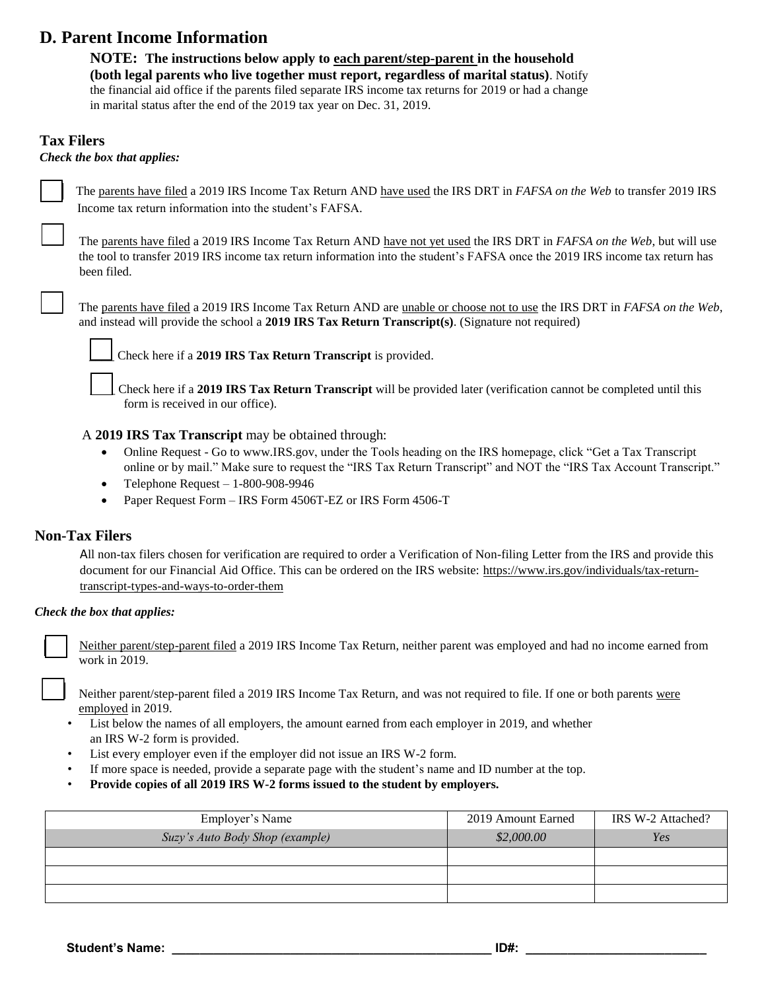## **D. Parent Income Information**

**NOTE: The instructions below apply to each parent/step-parent in the household (both legal parents who live together must report, regardless of marital status)**. Notify the financial aid office if the parents filed separate IRS income tax returns for 2019 or had a change in marital status after the end of the 2019 tax year on Dec. 31, 2019.

#### **Tax Filers**

*Check the box that applies:* 

The parents have filed a 2019 IRS Income Tax Return AND have used the IRS DRT in *FAFSA on the Web* to transfer 2019 IRS Income tax return information into the student's FAFSA*.*

The parents have filed a 2019 IRS Income Tax Return AND have not yet used the IRS DRT in *FAFSA on the Web*, but will use the tool to transfer 2019 IRS income tax return information into the student's FAFSA once the 2019 IRS income tax return has been filed.

The parents have filed a 2019 IRS Income Tax Return AND are unable or choose not to use the IRS DRT in *FAFSA on the Web*, and instead will provide the school a **2019 IRS Tax Return Transcript(s)**. (Signature not required)

*\_\_\_\_* Check here if a **2019 IRS Tax Return Transcript** is provided.

\_\_\_\_ Check here if a **2019 IRS Tax Return Transcript** will be provided later (verification cannot be completed until this form is received in our office).

#### A **2019 IRS Tax Transcript** may be obtained through:

- Online Request Go to [www.IRS.gov,](http://www.irs.gov/) under the Tools heading on the IRS homepage, click "Get a Tax Transcript online or by mail." Make sure to request the "IRS Tax Return Transcript" and NOT the "IRS Tax Account Transcript."
- $\bullet$  Telephone Request 1-800-908-9946
- Paper Request Form IRS Form 4506T-EZ or IRS Form 4506-T

#### **Non-Tax Filers**

All non-tax filers chosen for verification are required to order a Verification of Non-filing Letter from the IRS and provide this document for our Financial Aid Office. This can be ordered on the IRS website: [https://www.irs.gov/individuals/tax-return](https://www.irs.gov/individuals/tax-return-transcript-types-and-ways-to-order-them)[transcript-types-and-ways-to-order-them](https://www.irs.gov/individuals/tax-return-transcript-types-and-ways-to-order-them)

#### *Check the box that applies:*

Neither parent/step-parent filed a 2019 IRS Income Tax Return, neither parent was employed and had no income earned from work in 2019.

Neither parent/step-parent filed a 2019 IRS Income Tax Return, and was not required to file. If one or both parents were employed in 2019.

- List below the names of all employers, the amount earned from each employer in 2019, and whether an IRS W-2 form is provided.
- List every employer even if the employer did not issue an IRS W-2 form.
- If more space is needed, provide a separate page with the student's name and ID number at the top.
- **Provide copies of all 2019 IRS W-2 forms issued to the student by employers.**

| Employer's Name                 | 2019 Amount Earned | IRS W-2 Attached? |
|---------------------------------|--------------------|-------------------|
| Suzy's Auto Body Shop (example) | \$2,000.00         | Yes               |
|                                 |                    |                   |
|                                 |                    |                   |
|                                 |                    |                   |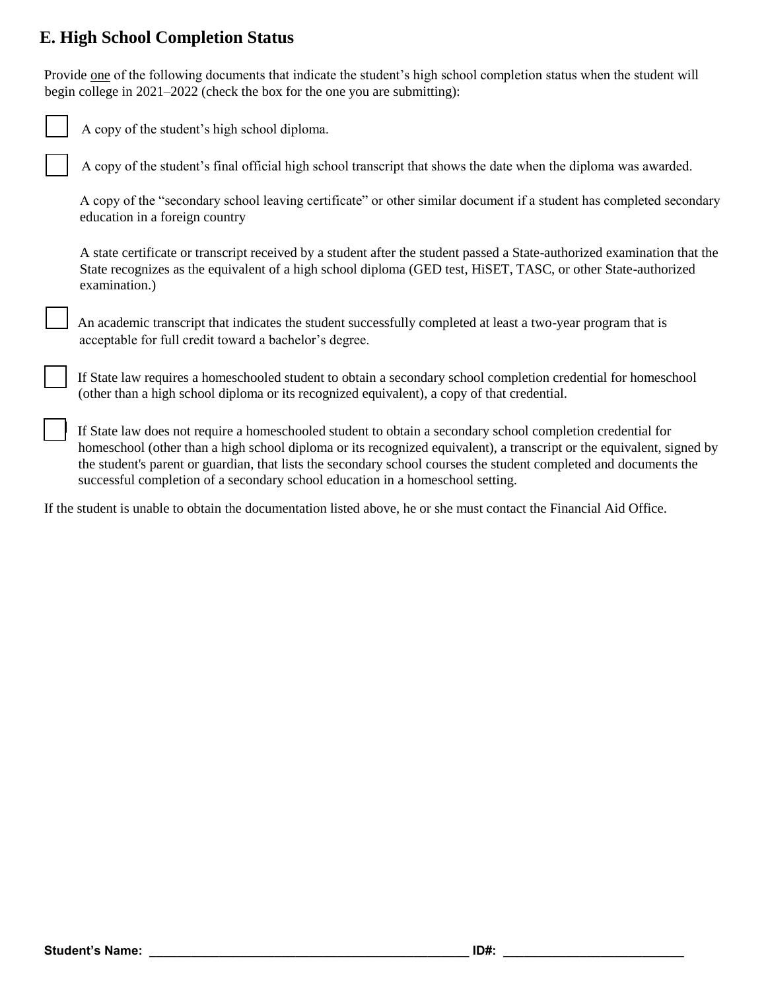## **E. High School Completion Status**

Provide one of the following documents that indicate the student's high school completion status when the student will begin college in 2021–2022 (check the box for the one you are submitting):

| A copy of the student's high school diploma.                                                                                                                                                                                                                                                                                                              |
|-----------------------------------------------------------------------------------------------------------------------------------------------------------------------------------------------------------------------------------------------------------------------------------------------------------------------------------------------------------|
| A copy of the student's final official high school transcript that shows the date when the diploma was awarded.                                                                                                                                                                                                                                           |
| A copy of the "secondary school leaving certificate" or other similar document if a student has completed secondary<br>education in a foreign country                                                                                                                                                                                                     |
| A state certificate or transcript received by a student after the student passed a State-authorized examination that the<br>State recognizes as the equivalent of a high school diploma (GED test, HiSET, TASC, or other State-authorized<br>examination.)                                                                                                |
| An academic transcript that indicates the student successfully completed at least a two-year program that is<br>acceptable for full credit toward a bachelor's degree.                                                                                                                                                                                    |
| If State law requires a homeschooled student to obtain a secondary school completion credential for homeschool<br>(other than a high school diploma or its recognized equivalent), a copy of that credential.                                                                                                                                             |
| If State law does not require a homeschooled student to obtain a secondary school completion credential for<br>homeschool (other than a high school diploma or its recognized equivalent), a transcript or the equivalent, signed by<br>the student's parent or guardian, that lists the secondary school courses the student completed and documents the |

If the student is unable to obtain the documentation listed above, he or she must contact the Financial Aid Office.

successful completion of a secondary school education in a homeschool setting.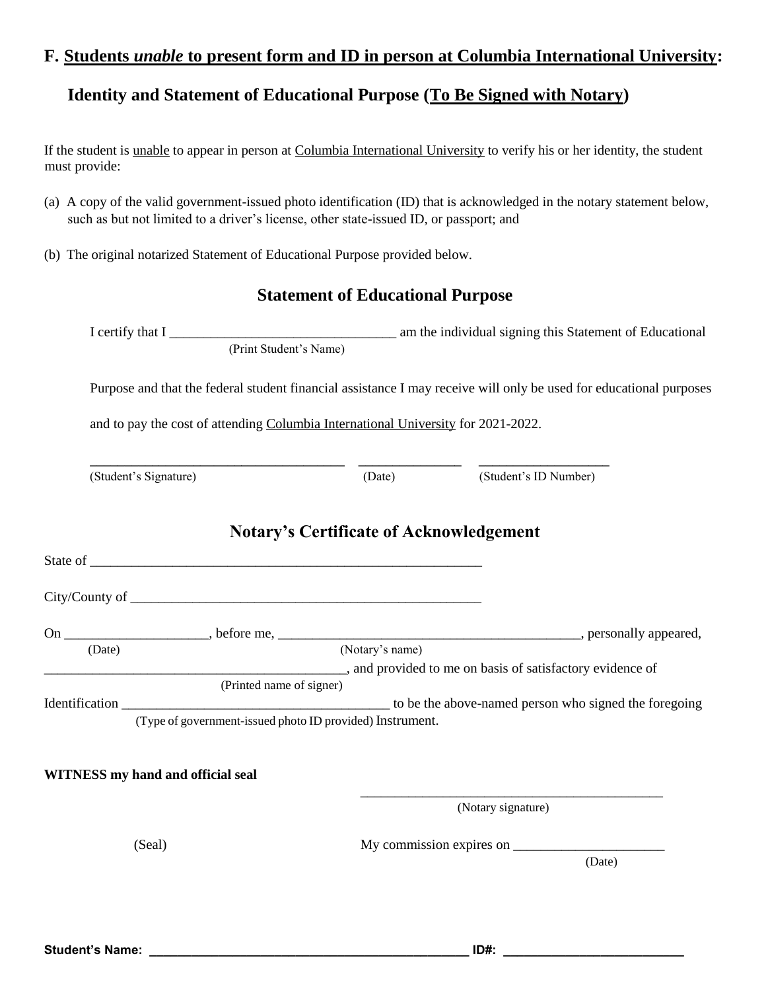### **F. Students** *unable* **to present form and ID in person at Columbia International University:**

## **Identity and Statement of Educational Purpose (To Be Signed with Notary)**

If the student is unable to appear in person at Columbia International University to verify his or her identity, the student must provide:

- (a) A copy of the valid government-issued photo identification (ID) that is acknowledged in the notary statement below, such as but not limited to a driver's license, other state-issued ID, or passport; and
- (b) The original notarized Statement of Educational Purpose provided below.

## **Statement of Educational Purpose**

|                                                                                             | I certify that I (Print Student's Name) am the individual signing this Statement of Educational                    |                              |  |  |  |
|---------------------------------------------------------------------------------------------|--------------------------------------------------------------------------------------------------------------------|------------------------------|--|--|--|
|                                                                                             | Purpose and that the federal student financial assistance I may receive will only be used for educational purposes |                              |  |  |  |
|                                                                                             | and to pay the cost of attending Columbia International University for 2021-2022.                                  |                              |  |  |  |
| (Student's Signature)                                                                       | <u> 2000 - Andrea Andrew Maria (b. 1982)</u>                                                                       | (Date) (Student's ID Number) |  |  |  |
|                                                                                             | <b>Notary's Certificate of Acknowledgement</b>                                                                     |                              |  |  |  |
|                                                                                             |                                                                                                                    |                              |  |  |  |
|                                                                                             |                                                                                                                    |                              |  |  |  |
|                                                                                             |                                                                                                                    |                              |  |  |  |
| (Date)<br>(Date) (Notary's name)<br>and provided to me on basis of satisfactory evidence of | (Notary's name)                                                                                                    |                              |  |  |  |
|                                                                                             | (Printed name of signer)                                                                                           |                              |  |  |  |
|                                                                                             |                                                                                                                    |                              |  |  |  |
|                                                                                             | (Type of government-issued photo ID provided) Instrument.                                                          |                              |  |  |  |
| <b>WITNESS</b> my hand and official seal                                                    |                                                                                                                    |                              |  |  |  |
|                                                                                             |                                                                                                                    | (Notary signature)           |  |  |  |
| (Seal)                                                                                      |                                                                                                                    |                              |  |  |  |
|                                                                                             |                                                                                                                    | (Date)                       |  |  |  |
|                                                                                             |                                                                                                                    |                              |  |  |  |
|                                                                                             |                                                                                                                    |                              |  |  |  |